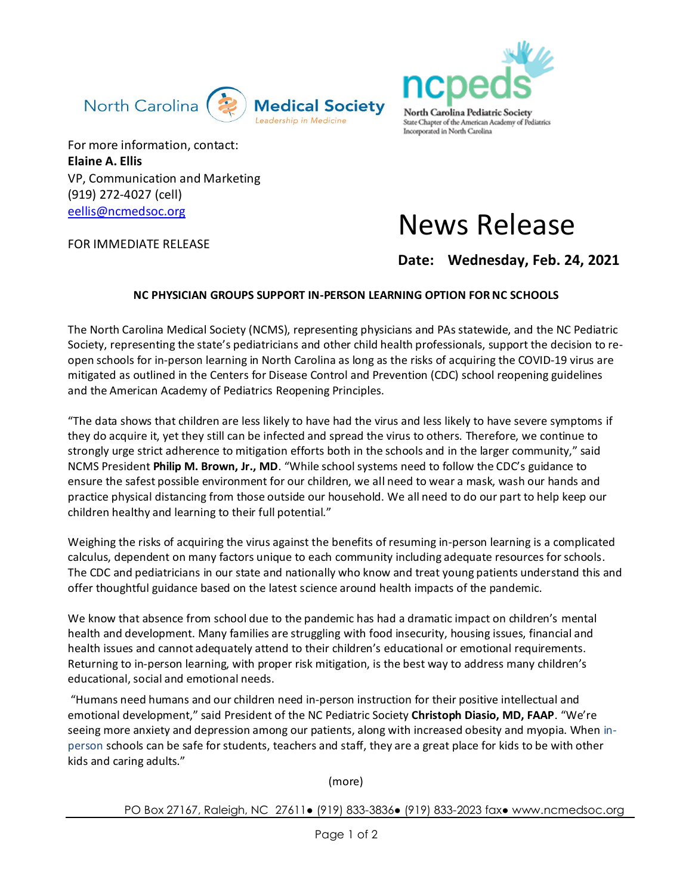



For more information, contact: **Elaine A. Ellis**  VP, Communication and Marketing (919) 272-4027 (cell) [eellis@ncmedsoc.org](mailto:eellis@ncmedsoc.org)

FOR IMMEDIATE RELEASE

## News Release

## **Date: Wednesday, Feb. 24, 2021**

## **NC PHYSICIAN GROUPS SUPPORT IN-PERSON LEARNING OPTION FOR NC SCHOOLS**

The North Carolina Medical Society (NCMS), representing physicians and PAs statewide, and the NC Pediatric Society, representing the state's pediatricians and other child health professionals, support the decision to reopen schools for in-person learning in North Carolina as long as the risks of acquiring the COVID-19 virus are mitigated as outlined in the Centers for Disease Control and Prevention (CDC) school reopening guidelines and the American Academy of Pediatrics Reopening Principles.

"The data shows that children are less likely to have had the virus and less likely to have severe symptoms if they do acquire it, yet they still can be infected and spread the virus to others. Therefore, we continue to strongly urge strict adherence to mitigation efforts both in the schools and in the larger community," said NCMS President *Philip M. Brown, Jr., MD*. "While school systems need to follow the CDC's guidance to ensure the safest possible environment for our children, we all need to wear a mask, wash our hands and practice physical distancing from those outside our household. We all need to do our part to help keep our children healthy and learning to their full potential."

Weighing the risks of acquiring the virus against the benefits of resuming in-person learning is a complicated calculus, dependent on many factors unique to each community including adequate resources for schools. The CDC and pediatricians in our state and nationally who know and treat young patients understand this and offer thoughtful guidance based on the latest science around health impacts of the pandemic.

We know that absence from school due to the pandemic has had a dramatic impact on children's mental health and development. Many families are struggling with food insecurity, housing issues, financial and health issues and cannot adequately attend to their children's educational or emotional requirements. Returning to in-person learning, with proper risk mitigation, is the best way to address many children's educational, social and emotional needs.

"Humans need humans and our children need in-person instruction for their positive intellectual and emotional development," said President of the NC Pediatric Society **Christoph Diasio, MD, FAAP**. "We're seeing more anxiety and depression among our patients, along with increased obesity and myopia. When inperson schools can be safe for students, teachers and staff, they are a great place for kids to be with other kids and caring adults."

(more)

PO Box 27167, Raleigh, NC 27611● (919) 833-3836● (919) 833-2023 fax● www.ncmedsoc.org